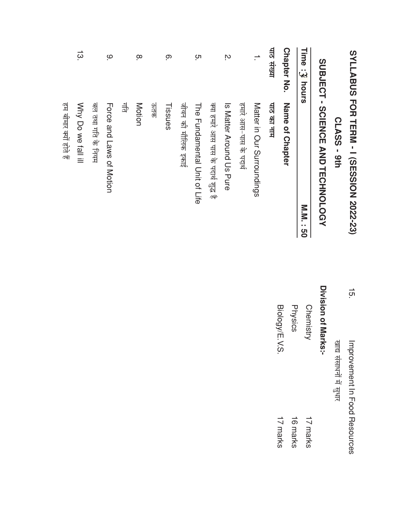|                           | SYLLABUS FOR TERM - I (SESSION 2022-23) |
|---------------------------|-----------------------------------------|
|                           | CLASS - 9th                             |
|                           | SUBJECT - SCIENCE AND TECHNOLOGY        |
| Time<br>.<br>پيا<br>hours | N'N'N<br>ပ္ပ                            |
| <b>Chapter No.</b>        | Name of Chapter                         |
| पाठ संख्या                | पाठ का नाम                              |
| $\overline{\phantom{0}}$  | Matter in Our Surroundings              |
|                           | हमारे आस-पास के पदार्थ                  |
| ΙŅ.                       | Is Matter Around Us Pure                |
|                           | क्या हमारे आस पास के पदार्थ शुद्ध है    |
| ო.                        | The Hundamental Chit of Life            |
|                           | जीवन की मौलिक इकाई                      |
| <u>ှ</u>                  | Tissues                                 |
|                           | जेतक                                    |
| $\infty$                  | Motion                                  |
|                           | 부                                       |
| ە.                        | <b>Horoe and Laws of Motion</b>         |
|                           | बल तथा गति के नियम                      |
| $\frac{1}{3}$             | Why Do we fall ill                      |
|                           | हम जीमार क्यों होते हैं                 |

 $\frac{1}{5}$ Improvement In Food Resources खाद्य संसाधनों में सुधार

## Division of Marks:-

| Biology/E.V.S | Physics  | Chemistry |
|---------------|----------|-----------|
| 17 marks      | 16 marks | 17 marks  |